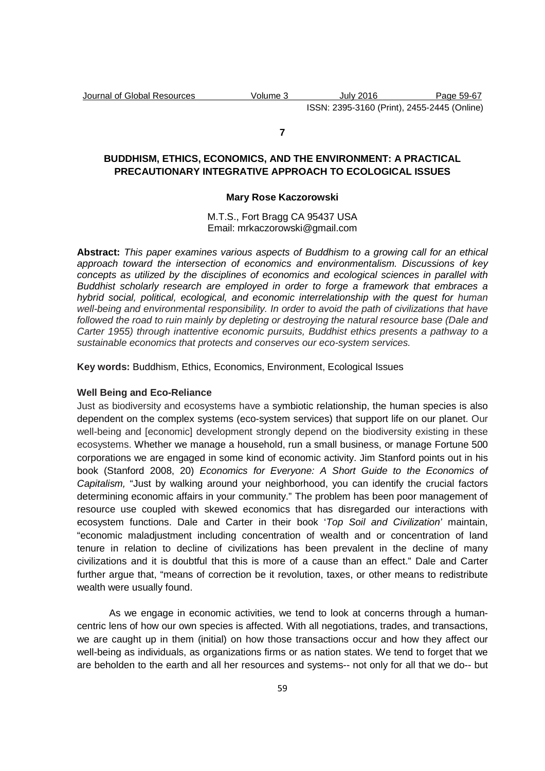#### **7**

# **BUDDHISM, ETHICS, ECONOMICS, AND THE ENVIRONMENT: A PRACTICAL PRECAUTIONARY INTEGRATIVE APPROACH TO ECOLOGICAL ISSUES**

### **Mary Rose Kaczorowski**

M.T.S., Fort Bragg CA 95437 USA Email: mrkaczorowski@gmail.com

**Abstract:** This paper examines various aspects of Buddhism to a growing call for an ethical approach toward the intersection of economics and environmentalism. Discussions of key concepts as utilized by the disciplines of economics and ecological sciences in parallel with Buddhist scholarly research are employed in order to forge a framework that embraces a hybrid social, political, ecological, and economic interrelationship with the quest for human well-being and environmental responsibility. In order to avoid the path of civilizations that have followed the road to ruin mainly by depleting or destroying the natural resource base (Dale and Carter 1955) through inattentive economic pursuits, Buddhist ethics presents a pathway to a sustainable economics that protects and conserves our eco-system services.

**Key words:** Buddhism, Ethics, Economics, Environment, Ecological Issues

### **Well Being and Eco-Reliance**

Just as biodiversity and ecosystems have a symbiotic relationship, the human species is also dependent on the complex systems (eco-system services) that support life on our planet. Our well-being and [economic] development strongly depend on the biodiversity existing in these ecosystems. Whether we manage a household, run a small business, or manage Fortune 500 corporations we are engaged in some kind of economic activity. Jim Stanford points out in his book (Stanford 2008, 20) Economics for Everyone: A Short Guide to the Economics of Capitalism, "Just by walking around your neighborhood, you can identify the crucial factors determining economic affairs in your community." The problem has been poor management of resource use coupled with skewed economics that has disregarded our interactions with ecosystem functions. Dale and Carter in their book 'Top Soil and Civilization' maintain, "economic maladjustment including concentration of wealth and or concentration of land tenure in relation to decline of civilizations has been prevalent in the decline of many civilizations and it is doubtful that this is more of a cause than an effect." Dale and Carter further argue that, "means of correction be it revolution, taxes, or other means to redistribute wealth were usually found.

As we engage in economic activities, we tend to look at concerns through a humancentric lens of how our own species is affected. With all negotiations, trades, and transactions, we are caught up in them (initial) on how those transactions occur and how they affect our well-being as individuals, as organizations firms or as nation states. We tend to forget that we are beholden to the earth and all her resources and systems-- not only for all that we do-- but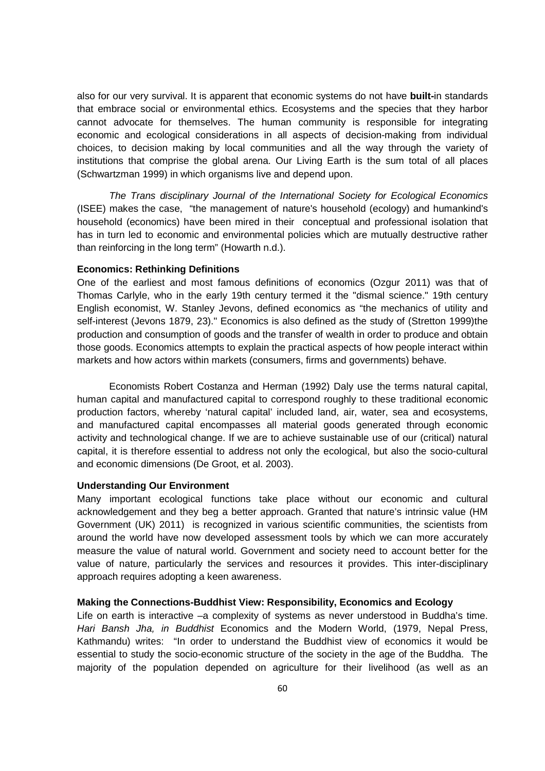also for our very survival. It is apparent that economic systems do not have **built-**in standards that embrace social or environmental ethics. Ecosystems and the species that they harbor cannot advocate for themselves. The human community is responsible for integrating economic and ecological considerations in all aspects of decision-making from individual choices, to decision making by local communities and all the way through the variety of institutions that comprise the global arena. Our Living Earth is the sum total of all places (Schwartzman 1999) in which organisms live and depend upon.

The Trans disciplinary Journal of the International Society for Ecological Economics (ISEE) makes the case, "the management of nature's household (ecology) and humankind's household (economics) have been mired in their conceptual and professional isolation that has in turn led to economic and environmental policies which are mutually destructive rather than reinforcing in the long term" (Howarth n.d.).

### **Economics: Rethinking Definitions**

One of the earliest and most famous definitions of economics (Ozgur 2011) was that of Thomas Carlyle, who in the early 19th century termed it the "dismal science." 19th century English economist, W. Stanley Jevons, defined economics as "the mechanics of utility and self-interest (Jevons 1879, 23)." Economics is also defined as the study of (Stretton 1999)the production and consumption of goods and the transfer of wealth in order to produce and obtain those goods. Economics attempts to explain the practical aspects of how people interact within markets and how actors within markets (consumers, firms and governments) behave.

Economists Robert Costanza and Herman (1992) Daly use the terms natural capital, human capital and manufactured capital to correspond roughly to these traditional economic production factors, whereby 'natural capital' included land, air, water, sea and ecosystems, and manufactured capital encompasses all material goods generated through economic activity and technological change. If we are to achieve sustainable use of our (critical) natural capital, it is therefore essential to address not only the ecological, but also the socio-cultural and economic dimensions (De Groot, et al. 2003).

# **Understanding Our Environment**

Many important ecological functions take place without our economic and cultural acknowledgement and they beg a better approach. Granted that nature's intrinsic value (HM Government (UK) 2011) is recognized in various scientific communities, the scientists from around the world have now developed assessment tools by which we can more accurately measure the value of natural world. Government and society need to account better for the value of nature, particularly the services and resources it provides. This inter-disciplinary approach requires adopting a keen awareness.

#### **Making the Connections-Buddhist View: Responsibility, Economics and Ecology**

Life on earth is interactive –a complexity of systems as never understood in Buddha's time. Hari Bansh Jha, in Buddhist Economics and the Modern World, (1979, Nepal Press, Kathmandu) writes: "In order to understand the Buddhist view of economics it would be essential to study the socio-economic structure of the society in the age of the Buddha. The majority of the population depended on agriculture for their livelihood (as well as an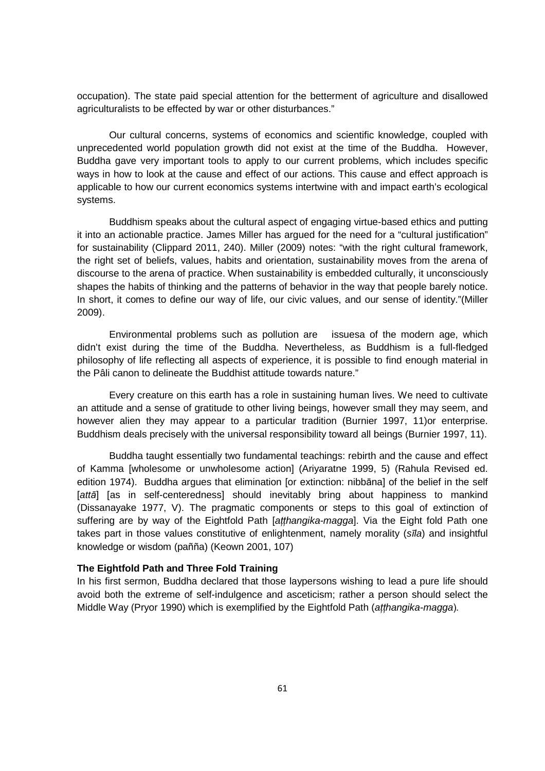occupation). The state paid special attention for the betterment of agriculture and disallowed agriculturalists to be effected by war or other disturbances."

Our cultural concerns, systems of economics and scientific knowledge, coupled with unprecedented world population growth did not exist at the time of the Buddha. However, Buddha gave very important tools to apply to our current problems, which includes specific ways in how to look at the cause and effect of our actions. This cause and effect approach is applicable to how our current economics systems intertwine with and impact earth's ecological systems.

Buddhism speaks about the cultural aspect of engaging virtue-based ethics and putting it into an actionable practice. James Miller has argued for the need for a "cultural justification" for sustainability (Clippard 2011, 240). Miller (2009) notes: "with the right cultural framework, the right set of beliefs, values, habits and orientation, sustainability moves from the arena of discourse to the arena of practice. When sustainability is embedded culturally, it unconsciously shapes the habits of thinking and the patterns of behavior in the way that people barely notice. In short, it comes to define our way of life, our civic values, and our sense of identity."(Miller 2009).

Environmental problems such as pollution are issuesa of the modern age, which didn't exist during the time of the Buddha. Nevertheless, as Buddhism is a full-fledged philosophy of life reflecting all aspects of experience, it is possible to find enough material in the Pâli canon to delineate the Buddhist attitude towards nature."

Every creature on this earth has a role in sustaining human lives. We need to cultivate an attitude and a sense of gratitude to other living beings, however small they may seem, and however alien they may appear to a particular tradition (Burnier 1997, 11)or enterprise. Buddhism deals precisely with the universal responsibility toward all beings (Burnier 1997, 11).

Buddha taught essentially two fundamental teachings: rebirth and the cause and effect of Kamma [wholesome or unwholesome action] (Ariyaratne 1999, 5) (Rahula Revised ed. edition 1974). Buddha argues that elimination [or extinction: nibbāna] of the belief in the self [att*ā*] [as in self-centeredness] should inevitably bring about happiness to mankind (Dissanayake 1977, V). The pragmatic components or steps to this goal of extinction of suffering are by way of the Eightfold Path [atthangika-magga]. Via the Eight fold Path one takes part in those values constitutive of enlightenment, namely morality (s*ī*la) and insightful knowledge or wisdom (pañña) (Keown 2001, 107)

# **The Eightfold Path and Three Fold Training**

In his first sermon, Buddha declared that those laypersons wishing to lead a pure life should avoid both the extreme of self-indulgence and asceticism; rather a person should select the Middle Way (Pryor 1990) which is exemplified by the Eightfold Path (*atthangika-magga*).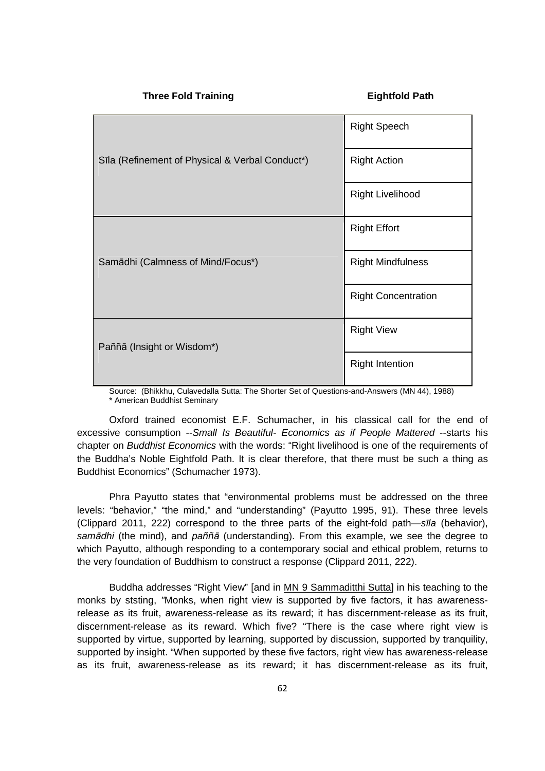|  | <b>Three Fold Training</b>                      | <b>Eightfold Path</b>      |
|--|-------------------------------------------------|----------------------------|
|  | Sīla (Refinement of Physical & Verbal Conduct*) | <b>Right Speech</b>        |
|  |                                                 | <b>Right Action</b>        |
|  |                                                 | <b>Right Livelihood</b>    |
|  | Samādhi (Calmness of Mind/Focus*)               | <b>Right Effort</b>        |
|  |                                                 | <b>Right Mindfulness</b>   |
|  |                                                 | <b>Right Concentration</b> |
|  | Paññā (Insight or Wisdom*)                      | <b>Right View</b>          |
|  |                                                 | <b>Right Intention</b>     |

Source: (Bhikkhu, Culavedalla Sutta: The Shorter Set of Questions-and-Answers (MN 44), 1988) \* American Buddhist Seminary

Oxford trained economist E.F. Schumacher, in his classical call for the end of excessive consumption --Small Is Beautiful- Economics as if People Mattered --starts his chapter on Buddhist Economics with the words: "Right livelihood is one of the requirements of the Buddha's Noble Eightfold Path. It is clear therefore, that there must be such a thing as Buddhist Economics" (Schumacher 1973).

Phra Payutto states that "environmental problems must be addressed on the three levels: "behavior," "the mind," and "understanding" (Payutto 1995, 91). These three levels (Clippard 2011, 222) correspond to the three parts of the eight-fold path—s*ī*la (behavior), sam*ā*dhi (the mind), and paññ*ā* (understanding). From this example, we see the degree to which Payutto, although responding to a contemporary social and ethical problem, returns to the very foundation of Buddhism to construct a response (Clippard 2011, 222).

Buddha addresses "Right View" [and in MN 9 Sammaditthi Sutta] in his teaching to the monks by ststing, "Monks, when right view is supported by five factors, it has awarenessrelease as its fruit, awareness-release as its reward; it has discernment-release as its fruit, discernment-release as its reward. Which five? "There is the case where right view is supported by virtue, supported by learning, supported by discussion, supported by tranquility, supported by insight. "When supported by these five factors, right view has awareness-release as its fruit, awareness-release as its reward; it has discernment-release as its fruit,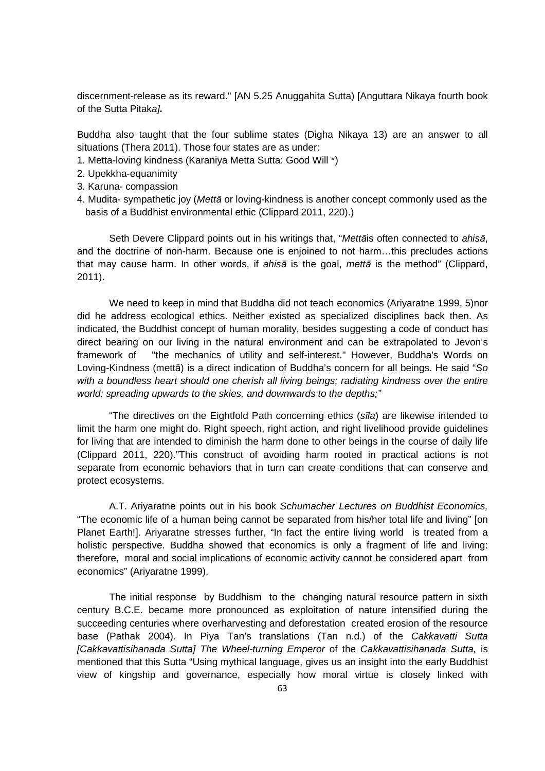discernment-release as its reward." [AN 5.25 Anuggahita Sutta) [Anguttara Nikaya fourth book of the Sutta Pitaka]**.**

Buddha also taught that the four sublime states (Digha Nikaya 13) are an answer to all situations (Thera 2011). Those four states are as under:

- 1. Metta-loving kindness (Karaniya Metta Sutta: Good Will \*)
- 2. Upekkha-equanimity
- 3. Karuna- compassion
- 4. Mudita- sympathetic joy (Mett*ā* or loving-kindness is another concept commonly used as the basis of a Buddhist environmental ethic (Clippard 2011, 220).)

Seth Devere Clippard points out in his writings that, "Mett*ā*is often connected to ahis*ā*, and the doctrine of non-harm. Because one is enjoined to not harm…this precludes actions that may cause harm. In other words, if ahis*ā* is the goal, mett*ā* is the method" (Clippard, 2011).

We need to keep in mind that Buddha did not teach economics (Ariyaratne 1999, 5)nor did he address ecological ethics. Neither existed as specialized disciplines back then. As indicated, the Buddhist concept of human morality, besides suggesting a code of conduct has direct bearing on our living in the natural environment and can be extrapolated to Jevon's framework of "the mechanics of utility and self-interest." However, Buddha's Words on Loving-Kindness (mettā) is a direct indication of Buddha's concern for all beings. He said "So with a boundless heart should one cherish all living beings; radiating kindness over the entire world: spreading upwards to the skies, and downwards to the depths;"

"The directives on the Eightfold Path concerning ethics (s*ī*la) are likewise intended to limit the harm one might do. Right speech, right action, and right livelihood provide guidelines for living that are intended to diminish the harm done to other beings in the course of daily life (Clippard 2011, 220)."This construct of avoiding harm rooted in practical actions is not separate from economic behaviors that in turn can create conditions that can conserve and protect ecosystems.

A.T. Ariyaratne points out in his book Schumacher Lectures on Buddhist Economics, "The economic life of a human being cannot be separated from his/her total life and living" [on Planet Earth!]. Ariyaratne stresses further, "In fact the entire living world is treated from a holistic perspective. Buddha showed that economics is only a fragment of life and living: therefore, moral and social implications of economic activity cannot be considered apart from economics" (Ariyaratne 1999).

The initial response by Buddhism to the changing natural resource pattern in sixth century B.C.E. became more pronounced as exploitation of nature intensified during the succeeding centuries where overharvesting and deforestation created erosion of the resource base (Pathak 2004). In Piya Tan's translations (Tan n.d.) of the Cakkavatti Sutta [Cakkavattisihanada Sutta] The Wheel-turning Emperor of the Cakkavattisihanada Sutta, is mentioned that this Sutta "Using mythical language, gives us an insight into the early Buddhist view of kingship and governance, especially how moral virtue is closely linked with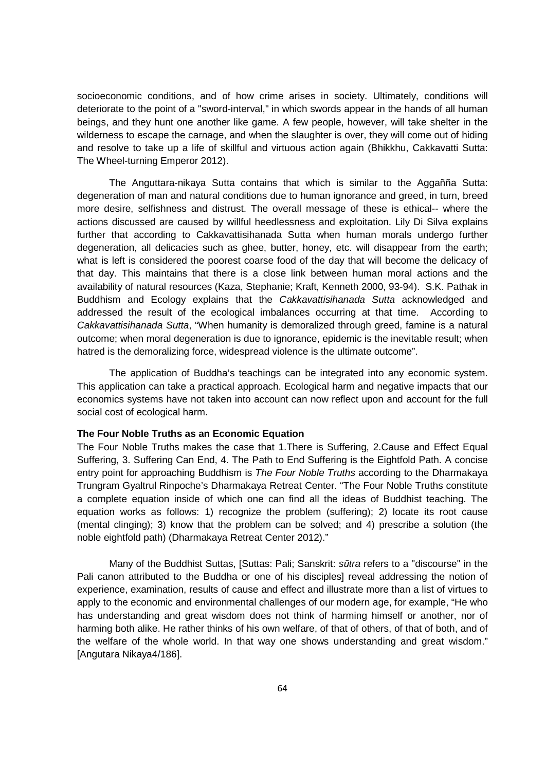socioeconomic conditions, and of how crime arises in society. Ultimately, conditions will deteriorate to the point of a "sword-interval," in which swords appear in the hands of all human beings, and they hunt one another like game. A few people, however, will take shelter in the wilderness to escape the carnage, and when the slaughter is over, they will come out of hiding and resolve to take up a life of skillful and virtuous action again (Bhikkhu, Cakkavatti Sutta: The Wheel-turning Emperor 2012).

The Anguttara-nikaya Sutta contains that which is similar to the Aggañña Sutta: degeneration of man and natural conditions due to human ignorance and greed, in turn, breed more desire, selfishness and distrust. The overall message of these is ethical-- where the actions discussed are caused by willful heedlessness and exploitation. Lily Di Silva explains further that according to Cakkavattisihanada Sutta when human morals undergo further degeneration, all delicacies such as ghee, butter, honey, etc. will disappear from the earth; what is left is considered the poorest coarse food of the day that will become the delicacy of that day. This maintains that there is a close link between human moral actions and the availability of natural resources (Kaza, Stephanie; Kraft, Kenneth 2000, 93-94). S.K. Pathak in Buddhism and Ecology explains that the Cakkavattisihanada Sutta acknowledged and addressed the result of the ecological imbalances occurring at that time. According to Cakkavattisihanada Sutta, "When humanity is demoralized through greed, famine is a natural outcome; when moral degeneration is due to ignorance, epidemic is the inevitable result; when hatred is the demoralizing force, widespread violence is the ultimate outcome".

The application of Buddha's teachings can be integrated into any economic system. This application can take a practical approach. Ecological harm and negative impacts that our economics systems have not taken into account can now reflect upon and account for the full social cost of ecological harm.

#### **The Four Noble Truths as an Economic Equation**

The Four Noble Truths makes the case that 1.There is Suffering, 2.Cause and Effect Equal Suffering, 3. Suffering Can End, 4. The Path to End Suffering is the Eightfold Path. A concise entry point for approaching Buddhism is The Four Noble Truths according to the Dharmakaya Trungram Gyaltrul Rinpoche's Dharmakaya Retreat Center. "The Four Noble Truths constitute a complete equation inside of which one can find all the ideas of Buddhist teaching. The equation works as follows: 1) recognize the problem (suffering); 2) locate its root cause (mental clinging); 3) know that the problem can be solved; and 4) prescribe a solution (the noble eightfold path) (Dharmakaya Retreat Center 2012)."

Many of the Buddhist Suttas, [Suttas: Pali; Sanskrit: s*ū*tra refers to a "discourse" in the Pali canon attributed to the Buddha or one of his disciples] reveal addressing the notion of experience, examination, results of cause and effect and illustrate more than a list of virtues to apply to the economic and environmental challenges of our modern age, for example, "He who has understanding and great wisdom does not think of harming himself or another, nor of harming both alike. He rather thinks of his own welfare, of that of others, of that of both, and of the welfare of the whole world. In that way one shows understanding and great wisdom." [Angutara Nikaya4/186].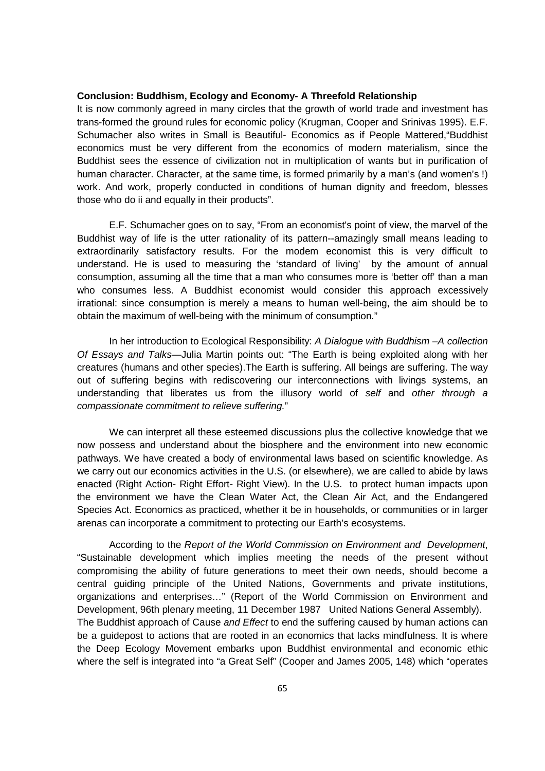### **Conclusion: Buddhism, Ecology and Economy- A Threefold Relationship**

It is now commonly agreed in many circles that the growth of world trade and investment has trans-formed the ground rules for economic policy (Krugman, Cooper and Srinivas 1995). E.F. Schumacher also writes in Small is Beautiful- Economics as if People Mattered,"Buddhist economics must be very different from the economics of modern materialism, since the Buddhist sees the essence of civilization not in multiplication of wants but in purification of human character. Character, at the same time, is formed primarily by a man's (and women's !) work. And work, properly conducted in conditions of human dignity and freedom, blesses those who do ii and equally in their products".

E.F. Schumacher goes on to say, "From an economist's point of view, the marvel of the Buddhist way of life is the utter rationality of its pattern--amazingly small means leading to extraordinarily satisfactory results. For the modem economist this is very difficult to understand. He is used to measuring the 'standard of living' by the amount of annual consumption, assuming all the time that a man who consumes more is 'better off' than a man who consumes less. A Buddhist economist would consider this approach excessively irrational: since consumption is merely a means to human well-being, the aim should be to obtain the maximum of well-being with the minimum of consumption."

In her introduction to Ecological Responsibility: A Dialogue with Buddhism –A collection Of Essays and Talks—Julia Martin points out: "The Earth is being exploited along with her creatures (humans and other species).The Earth is suffering. All beings are suffering. The way out of suffering begins with rediscovering our interconnections with livings systems, an understanding that liberates us from the illusory world of self and other through a compassionate commitment to relieve suffering."

We can interpret all these esteemed discussions plus the collective knowledge that we now possess and understand about the biosphere and the environment into new economic pathways. We have created a body of environmental laws based on scientific knowledge. As we carry out our economics activities in the U.S. (or elsewhere), we are called to abide by laws enacted (Right Action- Right Effort- Right View). In the U.S. to protect human impacts upon the environment we have the Clean Water Act, the Clean Air Act, and the Endangered Species Act. Economics as practiced, whether it be in households, or communities or in larger arenas can incorporate a commitment to protecting our Earth's ecosystems.

According to the Report of the World Commission on Environment and Development, "Sustainable development which implies meeting the needs of the present without compromising the ability of future generations to meet their own needs, should become a central guiding principle of the United Nations, Governments and private institutions, organizations and enterprises…" (Report of the World Commission on Environment and Development, 96th plenary meeting, 11 December 1987 United Nations General Assembly). The Buddhist approach of Cause and Effect to end the suffering caused by human actions can be a guidepost to actions that are rooted in an economics that lacks mindfulness. It is where the Deep Ecology Movement embarks upon Buddhist environmental and economic ethic where the self is integrated into "a Great Self" (Cooper and James 2005, 148) which "operates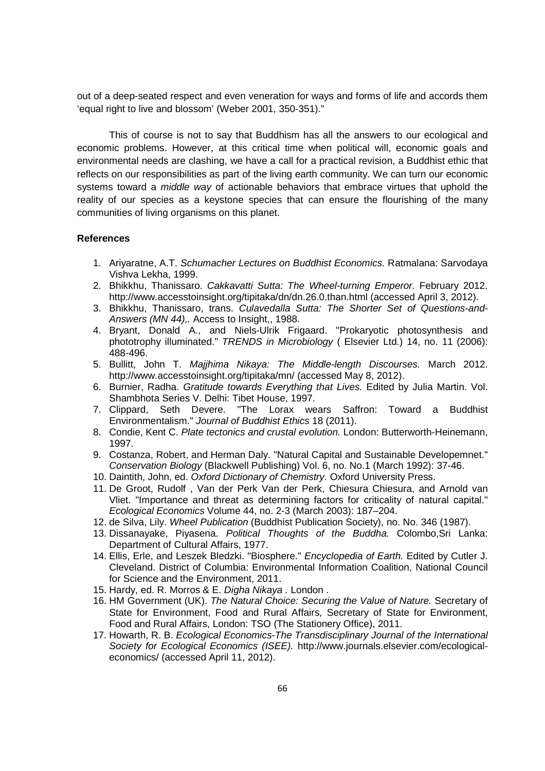out of a deep-seated respect and even veneration for ways and forms of life and accords them 'equal right to live and blossom' (Weber 2001, 350-351)."

This of course is not to say that Buddhism has all the answers to our ecological and economic problems. However, at this critical time when political will, economic goals and environmental needs are clashing, we have a call for a practical revision, a Buddhist ethic that reflects on our responsibilities as part of the living earth community. We can turn our economic systems toward a *middle way* of actionable behaviors that embrace virtues that uphold the reality of our species as a keystone species that can ensure the flourishing of the many communities of living organisms on this planet.

#### **References**

- 1. Ariyaratne, A.T. Schumacher Lectures on Buddhist Economics. Ratmalana: Sarvodaya Vishva Lekha, 1999.
- 2. Bhikkhu, Thanissaro. Cakkavatti Sutta: The Wheel-turning Emperor. February 2012. http://www.accesstoinsight.org/tipitaka/dn/dn.26.0.than.html (accessed April 3, 2012).
- 3. Bhikkhu, Thanissaro, trans. Culavedalla Sutta: The Shorter Set of Questions-and-Answers (MN 44),. Access to Insight,, 1988.
- 4. Bryant, Donald A., and Niels-Ulrik Frigaard. "Prokaryotic photosynthesis and phototrophy illuminated." TRENDS in Microbiology ( Elsevier Ltd.) 14, no. 11 (2006): 488-496.
- 5. Bullitt, John T. Majjhima Nikaya: The Middle-length Discourses. March 2012. http://www.accesstoinsight.org/tipitaka/mn/ (accessed May 8, 2012).
- 6. Burnier, Radha. Gratitude towards Everything that Lives. Edited by Julia Martin. Vol. Shambhota Series V. Delhi: Tibet House, 1997.
- 7. Clippard, Seth Devere. "The Lorax wears Saffron: Toward a Buddhist Environmentalism." Journal of Buddhist Ethics 18 (2011).
- 8. Condie, Kent C. Plate tectonics and crustal evolution. London: Butterworth-Heinemann, 1997.
- 9. Costanza, Robert, and Herman Daly. "Natural Capital and Sustainable Developemnet." Conservation Biology (Blackwell Publishing) Vol. 6, no. No.1 (March 1992): 37-46.
- 10. Daintith, John, ed. Oxford Dictionary of Chemistry. Oxford University Press.
- 11. De Groot, Rudolf , Van der Perk Van der Perk, Chiesura Chiesura, and Arnold van Vliet. "Importance and threat as determining factors for criticality of natural capital." Ecological Economics Volume 44, no. 2-3 (March 2003): 187–204.
- 12. de Silva, Lily. Wheel Publication (Buddhist Publication Society), no. No. 346 (1987).
- 13. Dissanayake, Piyasena. Political Thoughts of the Buddha. Colombo,Sri Lanka: Department of Cultural Affairs, 1977.
- 14. Ellis, Erle, and Leszek Bledzki. "Biosphere." Encyclopedia of Earth. Edited by Cutler J. Cleveland. District of Columbia: Environmental Information Coalition, National Council for Science and the Environment, 2011.
- 15. Hardy, ed. R. Morros & E. Digha Nikaya . London .
- 16. HM Government (UK). The Natural Choice: Securing the Value of Nature. Secretary of State for Environment, Food and Rural Affairs, Secretary of State for Environment, Food and Rural Affairs, London: TSO (The Stationery Office), 2011.
- 17. Howarth, R. B. Ecological Economics-The Transdisciplinary Journal of the International Society for Ecological Economics (ISEE). http://www.journals.elsevier.com/ecologicaleconomics/ (accessed April 11, 2012).